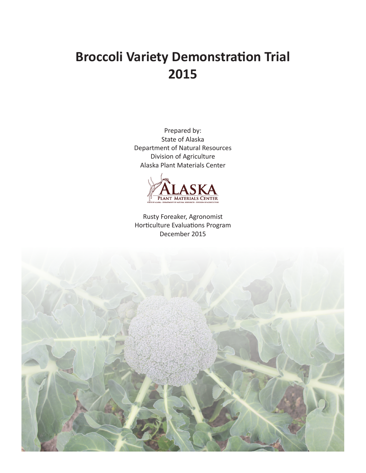# **Broccoli Variety Demonstration Trial 2015**

Prepared by: State of Alaska Department of Natural Resources Division of Agriculture Alaska Plant Materials Center



Rusty Foreaker, Agronomist Horticulture Evaluations Program December 2015

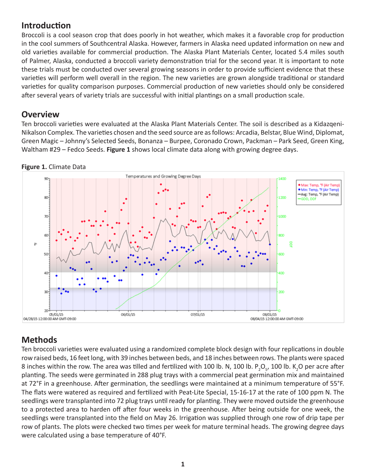## **Introduction**

Broccoli is a cool season crop that does poorly in hot weather, which makes it a favorable crop for production in the cool summers of Southcentral Alaska. However, farmers in Alaska need updated information on new and old varieties available for commercial production. The Alaska Plant Materials Center, located 5.4 miles south of Palmer, Alaska, conducted a broccoli variety demonstration trial for the second year. It is important to note these trials must be conducted over several growing seasons in order to provide sufficient evidence that these varieties will perform well overall in the region. The new varieties are grown alongside traditional or standard varieties for quality comparison purposes. Commercial production of new varieties should only be considered after several years of variety trials are successful with initial plantings on a small production scale.

#### **Overview**

Ten broccoli varieties were evaluated at the Alaska Plant Materials Center. The soil is described as a Kidazqeni-Nikalson Complex. The varieties chosen and the seed source are as follows: Arcadia, Belstar, Blue Wind, Diplomat, Green Magic – Johnny's Selected Seeds, Bonanza – Burpee, Coronado Crown, Packman – Park Seed, Green King, Waltham #29 – Fedco Seeds. **Figure 1** shows local climate data along with growing degree days.



#### **Figure 1.** Climate Data

## **Methods**

Ten broccoli varieties were evaluated using a randomized complete block design with four replications in double row raised beds, 16 feet long, with 39 inches between beds, and 18 inches between rows. The plants were spaced 8 inches within the row. The area was tilled and fertilized with 100 lb. N, 100 lb. P<sub>2</sub>O<sub>5</sub>, 100 lb. K<sub>2</sub>O per acre after planting. The seeds were germinated in 288 plug trays with a commercial peat germination mix and maintained at 72°F in a greenhouse. After germination, the seedlings were maintained at a minimum temperature of 55°F. The flats were watered as required and fertilized with Peat-Lite Special, 15-16-17 at the rate of 100 ppm N. The seedlings were transplanted into 72 plug trays until ready for planting. They were moved outside the greenhouse to a protected area to harden off after four weeks in the greenhouse. After being outside for one week, the seedlings were transplanted into the field on May 26. Irrigation was supplied through one row of drip tape per row of plants. The plots were checked two times per week for mature terminal heads. The growing degree days were calculated using a base temperature of 40°F.